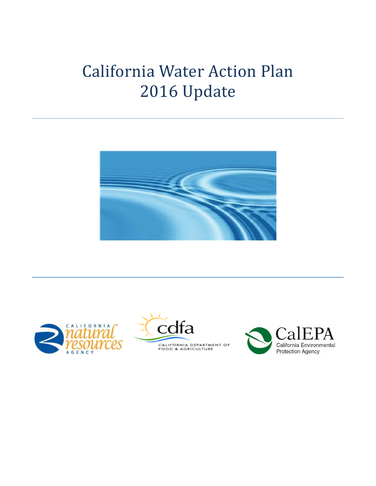# California Water Action Plan 2016 Update







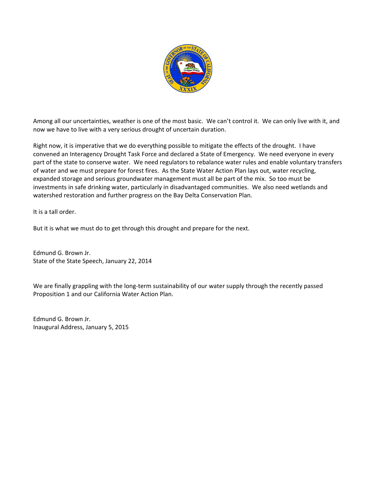

Among all our uncertainties, weather is one of the most basic. We can't control it. We can only live with it, and now we have to live with a very serious drought of uncertain duration.

Right now, it is imperative that we do everything possible to mitigate the effects of the drought. I have convened an Interagency Drought Task Force and declared a State of Emergency. We need everyone in every part of the state to conserve water. We need regulators to rebalance water rules and enable voluntary transfers of water and we must prepare for forest fires. As the State Water Action Plan lays out, water recycling, expanded storage and serious groundwater management must all be part of the mix. So too must be investments in safe drinking water, particularly in disadvantaged communities. We also need wetlands and watershed restoration and further progress on the Bay Delta Conservation Plan.

It is a tall order.

But it is what we must do to get through this drought and prepare for the next.

Edmund G. Brown Jr. State of the State Speech, January 22, 2014

We are finally grappling with the long-term sustainability of our water supply through the recently passed Proposition 1 and our California Water Action Plan.

Edmund G. Brown Jr. Inaugural Address, January 5, 2015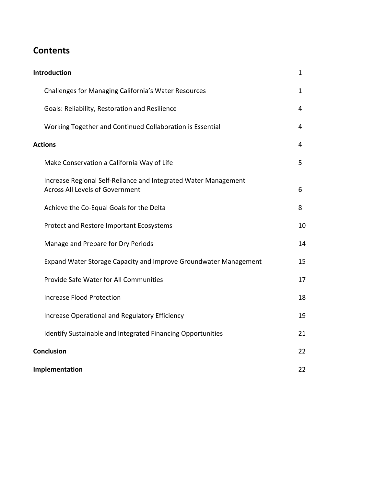# **Contents**

| <b>Introduction</b>                                                                                       | $\mathbf{1}$   |  |
|-----------------------------------------------------------------------------------------------------------|----------------|--|
| Challenges for Managing California's Water Resources                                                      | $\mathbf{1}$   |  |
| Goals: Reliability, Restoration and Resilience                                                            | 4              |  |
| Working Together and Continued Collaboration is Essential                                                 | 4              |  |
| <b>Actions</b>                                                                                            | $\overline{4}$ |  |
| Make Conservation a California Way of Life                                                                | 5              |  |
| Increase Regional Self-Reliance and Integrated Water Management<br><b>Across All Levels of Government</b> | 6              |  |
| Achieve the Co-Equal Goals for the Delta                                                                  | 8              |  |
| Protect and Restore Important Ecosystems                                                                  | 10             |  |
| Manage and Prepare for Dry Periods                                                                        | 14             |  |
| Expand Water Storage Capacity and Improve Groundwater Management                                          | 15             |  |
| Provide Safe Water for All Communities                                                                    | 17             |  |
| <b>Increase Flood Protection</b>                                                                          | 18             |  |
| Increase Operational and Regulatory Efficiency                                                            | 19             |  |
| Identify Sustainable and Integrated Financing Opportunities                                               | 21             |  |
| <b>Conclusion</b>                                                                                         | 22             |  |
| Implementation                                                                                            | 22             |  |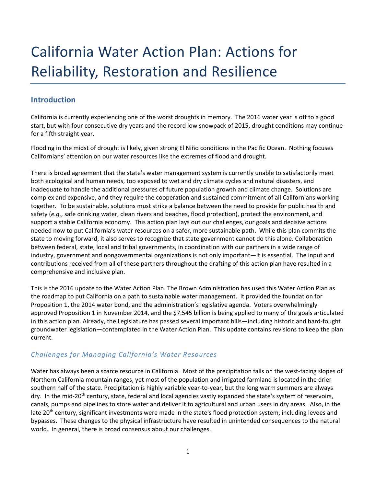# <span id="page-3-0"></span>California Water Action Plan: Actions for Reliability, Restoration and Resilience

# **Introduction**

California is currently experiencing one of the worst droughts in memory. The 2016 water year is off to a good start, but with four consecutive dry years and the record low snowpack of 2015, drought conditions may continue for a fifth straight year.

Flooding in the midst of drought is likely, given strong El Niño conditions in the Pacific Ocean. Nothing focuses Californians' attention on our water resources like the extremes of flood and drought.

There is broad agreement that the state's water management system is currently unable to satisfactorily meet both ecological and human needs, too exposed to wet and dry climate cycles and natural disasters, and inadequate to handle the additional pressures of future population growth and climate change. Solutions are complex and expensive, and they require the cooperation and sustained commitment of all Californians working together. To be sustainable, solutions must strike a balance between the need to provide for public health and safety (*e.g.*, safe drinking water, clean rivers and beaches, flood protection), protect the environment, and support a stable California economy. This action plan lays out our challenges, our goals and decisive actions needed now to put California's water resources on a safer, more sustainable path. While this plan commits the state to moving forward, it also serves to recognize that state government cannot do this alone. Collaboration between federal, state, local and tribal governments, in coordination with our partners in a wide range of industry, government and nongovernmental organizations is not only important—it is essential. The input and contributions received from all of these partners throughout the drafting of this action plan have resulted in a comprehensive and inclusive plan.

This is the 2016 update to the Water Action Plan. The Brown Administration has used this Water Action Plan as the roadmap to put California on a path to sustainable water management. It provided the foundation for Proposition 1, the 2014 water bond, and the administration's legislative agenda. Voters overwhelmingly approved Proposition 1 in November 2014, and the \$7.545 billion is being applied to many of the goals articulated in this action plan. Already, the Legislature has passed several important bills—including historic and hard‐fought groundwater legislation—contemplated in the Water Action Plan. This update contains revisions to keep the plan current.

# *Challenges for Managing California's Water Resources*

Water has always been a scarce resource in California. Most of the precipitation falls on the west-facing slopes of Northern California mountain ranges, yet most of the population and irrigated farmland is located in the drier southern half of the state. Precipitation is highly variable year-to-year, but the long warm summers are always dry. In the mid-20<sup>th</sup> century, state, federal and local agencies vastly expanded the state's system of reservoirs, canals, pumps and pipelines to store water and deliver it to agricultural and urban users in dry areas. Also, in the late 20<sup>th</sup> century, significant investments were made in the state's flood protection system, including levees and bypasses. These changes to the physical infrastructure have resulted in unintended consequences to the natural world. In general, there is broad consensus about our challenges.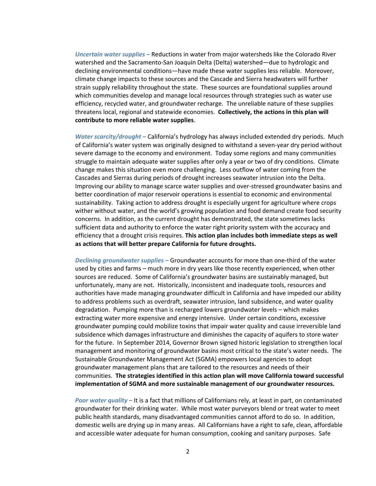*Uncertain water supplies –* Reductions in water from major watersheds like the Colorado River watershed and the Sacramento‐San Joaquin Delta (Delta) watershed—due to hydrologic and declining environmental conditions—have made these water supplies less reliable. Moreover, climate change impacts to these sources and the Cascade and Sierra headwaters will further strain supply reliability throughout the state. These sources are foundational supplies around which communities develop and manage local resources through strategies such as water use efficiency, recycled water, and groundwater recharge. The unreliable nature of these supplies threatens local, regional and statewide economies. **Collectively, the actions in this plan will contribute to more reliable water supplies**.

*Water scarcity/drought –* California's hydrology has always included extended dry periods. Much of California's water system was originally designed to withstand a seven‐year dry period without severe damage to the economy and environment. Today some regions and many communities struggle to maintain adequate water supplies after only a year or two of dry conditions. Climate change makes this situation even more challenging. Less outflow of water coming from the Cascades and Sierras during periods of drought increases seawater intrusion into the Delta. Improving our ability to manage scarce water supplies and over‐stressed groundwater basins and better coordination of major reservoir operations is essential to economic and environmental sustainability. Taking action to address drought is especially urgent for agriculture where crops wither without water, and the world's growing population and food demand create food security concerns. In addition, as the current drought has demonstrated, the state sometimes lacks sufficient data and authority to enforce the water right priority system with the accuracy and efficiency that a drought crisis requires. **This action plan includes both immediate steps as well as actions that will better prepare California for future droughts.**

*Declining groundwater supplies* **–** Groundwater accounts for more than one‐third of the water used by cities and farms – much more in dry years like those recently experienced, when other sources are reduced. Some of California's groundwater basins are sustainably managed, but unfortunately, many are not. Historically, inconsistent and inadequate tools, resources and authorities have made managing groundwater difficult in California and have impeded our ability to address problems such as overdraft, seawater intrusion, land subsidence, and water quality degradation. Pumping more than is recharged lowers groundwater levels – which makes extracting water more expensive and energy intensive. Under certain conditions, excessive groundwater pumping could mobilize toxins that impair water quality and cause irreversible land subsidence which damages infrastructure and diminishes the capacity of aquifers to store water for the future. In September 2014, Governor Brown signed historic legislation to strengthen local management and monitoring of groundwater basins most critical to the state's water needs. The Sustainable Groundwater Management Act (SGMA) empowers local agencies to adopt groundwater management plans that are tailored to the resources and needs of their communities. **The strategies identified in this action plan will move California toward successful implementation of SGMA and more sustainable management of our groundwater resources.**

*Poor water quality –* It is a fact that millions of Californians rely, at least in part, on contaminated groundwater for their drinking water. While most water purveyors blend or treat water to meet public health standards, many disadvantaged communities cannot afford to do so. In addition, domestic wells are drying up in many areas. All Californians have a right to safe, clean, affordable and accessible water adequate for human consumption, cooking and sanitary purposes. Safe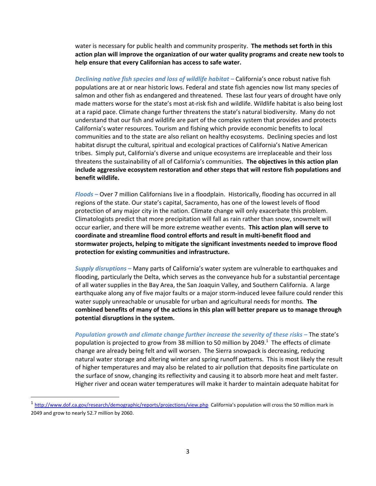water is necessary for public health and community prosperity. **The methods set forth in this action plan will improve the organization of our water quality programs and create new tools to help ensure that every Californian has access to safe water.**

*Declining native fish species and loss of wildlife habitat –* California's once robust native fish populations are at or near historic lows. Federal and state fish agencies now list many species of salmon and other fish as endangered and threatened. These last four years of drought have only made matters worse for the state's most at-risk fish and wildlife. Wildlife habitat is also being lost at a rapid pace. Climate change further threatens the state's natural biodiversity. Many do not understand that our fish and wildlife are part of the complex system that provides and protects California's water resources. Tourism and fishing which provide economic benefits to local communities and to the state are also reliant on healthy ecosystems. Declining species and lost habitat disrupt the cultural, spiritual and ecological practices of California's Native American tribes. Simply put, California's diverse and unique ecosystems are irreplaceable and their loss threatens the sustainability of all of California's communities. **The objectives in this action plan include aggressive ecosystem restoration and other steps that will restore fish populations and benefit wildlife.** 

*Floods –* Over 7 million Californians live in a floodplain. Historically, flooding has occurred in all regions of the state. Our state's capital, Sacramento, has one of the lowest levels of flood protection of any major city in the nation. Climate change will only exacerbate this problem. Climatologists predict that more precipitation will fall as rain rather than snow, snowmelt will occur earlier, and there will be more extreme weather events. **This action plan will serve to coordinate and streamline flood control efforts and result in multi‐benefit flood and stormwater projects, helping to mitigate the significant investments needed to improve flood protection for existing communities and infrastructure.**

*Supply disruptions –* Many parts of California's water system are vulnerable to earthquakes and flooding, particularly the Delta, which serves as the conveyance hub for a substantial percentage of all water supplies in the Bay Area, the San Joaquin Valley, and Southern California. A large earthquake along any of five major faults or a major storm-induced levee failure could render this water supply unreachable or unusable for urban and agricultural needs for months. **The combined benefits of many of the actions in this plan will better prepare us to manage through potential disruptions in the system.**

*Population growth and climate change further increase the severity of these risks –* The state's population is projected to grow from 38 million to 50 million by 2049.<sup>1</sup> The effects of climate change are already being felt and will worsen. The Sierra snowpack is decreasing, reducing natural water storage and altering winter and spring runoff patterns. This is most likely the result of higher temperatures and may also be related to air pollution that deposits fine particulate on the surface of snow, changing its reflectivity and causing it to absorb more heat and melt faster. Higher river and ocean water temperatures will make it harder to maintain adequate habitat for

<sup>1</sup> <http://www.dof.ca.gov/research/demographic/reports/projections/view.php> California's population will cross the 50 million mark in 2049 and grow to nearly 52.7 million by 2060.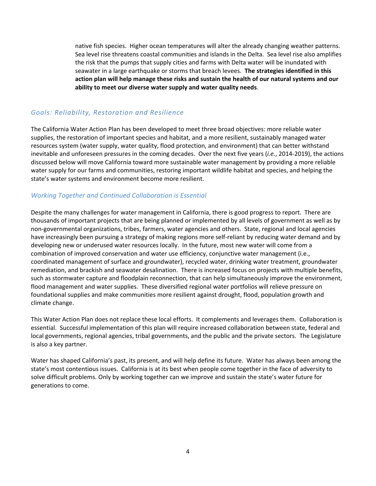<span id="page-6-0"></span>native fish species. Higher ocean temperatures will alter the already changing weather patterns. Sea level rise threatens coastal communities and islands in the Delta. Sea level rise also amplifies the risk that the pumps that supply cities and farms with Delta water will be inundated with seawater in a large earthquake or storms that breach levees. **The strategies identified in this action plan will help manage these risks and sustain the health of our natural systems and our ability to meet our diverse water supply and water quality needs**.

# *Goals: Reliability, Restoration and Resilience*

The California Water Action Plan has been developed to meet three broad objectives: more reliable water supplies, the restoration of important species and habitat, and a more resilient, sustainably managed water resources system (water supply, water quality, flood protection, and environment) that can better withstand inevitable and unforeseen pressures in the coming decades. Over the next five years (*i.e.*, 2014‐2019), the actions discussed below will move California toward more sustainable water management by providing a more reliable water supply for our farms and communities, restoring important wildlife habitat and species, and helping the state's water systems and environment become more resilient.

# *Working Together and Continued Collaboration is Essential*

Despite the many challenges for water management in California, there is good progress to report. There are thousands of important projects that are being planned or implemented by all levels of government as well as by non‐governmental organizations, tribes, farmers, water agencies and others. State, regional and local agencies have increasingly been pursuing a strategy of making regions more self-reliant by reducing water demand and by developing new or underused water resources locally. In the future, most new water will come from a combination of improved conservation and water use efficiency, conjunctive water management (i.e., coordinated management of surface and groundwater), recycled water, drinking water treatment, groundwater remediation, and brackish and seawater desalination. There is increased focus on projects with multiple benefits, such as stormwater capture and floodplain reconnection, that can help simultaneously improve the environment, flood management and water supplies. These diversified regional water portfolios will relieve pressure on foundational supplies and make communities more resilient against drought, flood, population growth and climate change.

This Water Action Plan does not replace these local efforts. It complements and leverages them. Collaboration is essential. Successful implementation of this plan will require increased collaboration between state, federal and local governments, regional agencies, tribal governments, and the public and the private sectors. The Legislature is also a key partner.

Water has shaped California's past, its present, and will help define its future. Water has always been among the state's most contentious issues. California is at its best when people come together in the face of adversity to solve difficult problems. Only by working together can we improve and sustain the state's water future for generations to come.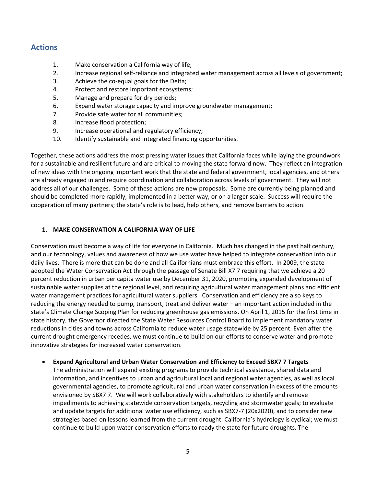# <span id="page-7-0"></span>**Actions**

- 1. Make conservation a California way of life;
- 2. Increase regional self‐reliance and integrated water management across all levels of government;
- 3. Achieve the co-equal goals for the Delta;
- 4. Protect and restore important ecosystems;
- 5. Manage and prepare for dry periods;
- 6. Expand water storage capacity and improve groundwater management;
- 7. Provide safe water for all communities;
- 8. Increase flood protection;
- 9. Increase operational and regulatory efficiency;
- 10. Identify sustainable and integrated financing opportunities.

Together, these actions address the most pressing water issues that California faces while laying the groundwork for a sustainable and resilient future and are critical to moving the state forward now. They reflect an integration of new ideas with the ongoing important work that the state and federal government, local agencies, and others are already engaged in and require coordination and collaboration across levels of government. They will not address all of our challenges. Some of these actions are new proposals. Some are currently being planned and should be completed more rapidly, implemented in a better way, or on a larger scale. Success will require the cooperation of many partners; the state's role is to lead, help others, and remove barriers to action.

# **1. MAKE CONSERVATION A CALIFORNIA WAY OF LIFE**

Conservation must become a way of life for everyone in California. Much has changed in the past half century, and our technology, values and awareness of how we use water have helped to integrate conservation into our daily lives. There is more that can be done and all Californians must embrace this effort. In 2009, the state adopted the Water Conservation Act through the passage of Senate Bill X7 7 requiring that we achieve a 20 percent reduction in urban per capita water use by December 31, 2020, promoting expanded development of sustainable water supplies at the regional level, and requiring agricultural water management plans and efficient water management practices for agricultural water suppliers. Conservation and efficiency are also keys to reducing the energy needed to pump, transport, treat and deliver water – an important action included in the state's Climate Change Scoping Plan for reducing greenhouse gas emissions. On April 1, 2015 for the first time in state history, the Governor directed the State Water Resources Control Board to implement mandatory water reductions in cities and towns across California to reduce water usage statewide by 25 percent. Even after the current drought emergency recedes, we must continue to build on our efforts to conserve water and promote innovative strategies for increased water conservation.

# **Expand Agricultural and Urban Water Conservation and Efficiency to Exceed SBX7 7 Targets**

The administration will expand existing programs to provide technical assistance, shared data and information, and incentives to urban and agricultural local and regional water agencies, as well as local governmental agencies, to promote agricultural and urban water conservation in excess of the amounts envisioned by SBX7 7. We will work collaboratively with stakeholders to identify and remove impediments to achieving statewide conservation targets, recycling and stormwater goals; to evaluate and update targets for additional water use efficiency, such as SBX7-7 (20x2020), and to consider new strategies based on lessons learned from the current drought. California's hydrology is cyclical; we must continue to build upon water conservation efforts to ready the state for future droughts. The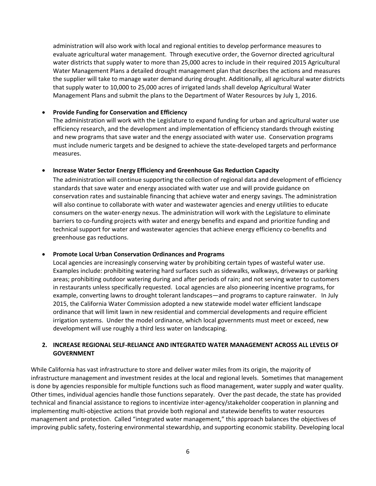<span id="page-8-0"></span>administration will also work with local and regional entities to develop performance measures to evaluate agricultural water management. Through executive order, the Governor directed agricultural water districts that supply water to more than 25,000 acres to include in their required 2015 Agricultural Water Management Plans a detailed drought management plan that describes the actions and measures the supplier will take to manage water demand during drought. Additionally, all agricultural water districts that supply water to 10,000 to 25,000 acres of irrigated lands shall develop Agricultural Water Management Plans and submit the plans to the Department of Water Resources by July 1, 2016.

# **Provide Funding for Conservation and Efficiency**

The administration will work with the Legislature to expand funding for urban and agricultural water use efficiency research, and the development and implementation of efficiency standards through existing and new programs that save water and the energy associated with water use. Conservation programs must include numeric targets and be designed to achieve the state‐developed targets and performance measures.

# **Increase Water Sector Energy Efficiency and Greenhouse Gas Reduction Capacity**

The administration will continue supporting the collection of regional data and development of efficiency standards that save water and energy associated with water use and will provide guidance on conservation rates and sustainable financing that achieve water and energy savings. The administration will also continue to collaborate with water and wastewater agencies and energy utilities to educate consumers on the water‐energy nexus. The administration will work with the Legislature to eliminate barriers to co-funding projects with water and energy benefits and expand and prioritize funding and technical support for water and wastewater agencies that achieve energy efficiency co-benefits and greenhouse gas reductions.

# **Promote Local Urban Conservation Ordinances and Programs**

Local agencies are increasingly conserving water by prohibiting certain types of wasteful water use. Examples include: prohibiting watering hard surfaces such as sidewalks, walkways, driveways or parking areas; prohibiting outdoor watering during and after periods of rain; and not serving water to customers in restaurants unless specifically requested. Local agencies are also pioneering incentive programs, for example, converting lawns to drought tolerant landscapes—and programs to capture rainwater. In July 2015, the California Water Commission adopted a new statewide model water efficient landscape ordinance that will limit lawn in new residential and commercial developments and require efficient irrigation systems. Under the model ordinance, which local governments must meet or exceed, new development will use roughly a third less water on landscaping.

# **2. INCREASE REGIONAL SELF‐RELIANCE AND INTEGRATED WATER MANAGEMENT ACROSS ALL LEVELS OF GOVERNMENT**

While California has vast infrastructure to store and deliver water miles from its origin, the majority of infrastructure management and investment resides at the local and regional levels. Sometimes that management is done by agencies responsible for multiple functions such as flood management, water supply and water quality. Other times, individual agencies handle those functions separately. Over the past decade, the state has provided technical and financial assistance to regions to incentivize inter‐agency/stakeholder cooperation in planning and implementing multi‐objective actions that provide both regional and statewide benefits to water resources management and protection. Called "integrated water management," this approach balances the objectives of improving public safety, fostering environmental stewardship, and supporting economic stability. Developing local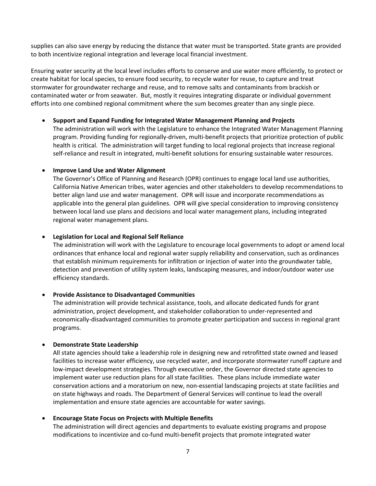supplies can also save energy by reducing the distance that water must be transported. State grants are provided to both incentivize regional integration and leverage local financial investment.

Ensuring water security at the local level includes efforts to conserve and use water more efficiently, to protect or create habitat for local species, to ensure food security, to recycle water for reuse, to capture and treat stormwater for groundwater recharge and reuse, and to remove salts and contaminants from brackish or contaminated water or from seawater. But, mostly it requires integrating disparate or individual government efforts into one combined regional commitment where the sum becomes greater than any single piece.

# **Support and Expand Funding for Integrated Water Management Planning and Projects**

The administration will work with the Legislature to enhance the Integrated Water Management Planning program. Providing funding for regionally‐driven, multi‐benefit projects that prioritize protection of public health is critical. The administration will target funding to local regional projects that increase regional self-reliance and result in integrated, multi-benefit solutions for ensuring sustainable water resources.

# **Improve Land Use and Water Alignment**

The Governor's Office of Planning and Research (OPR) continues to engage local land use authorities, California Native American tribes, water agencies and other stakeholders to develop recommendations to better align land use and water management. OPR will issue and incorporate recommendations as applicable into the general plan guidelines. OPR will give special consideration to improving consistency between local land use plans and decisions and local water management plans, including integrated regional water management plans.

# **Legislation for Local and Regional Self Reliance**

The administration will work with the Legislature to encourage local governments to adopt or amend local ordinances that enhance local and regional water supply reliability and conservation, such as ordinances that establish minimum requirements for infiltration or injection of water into the groundwater table, detection and prevention of utility system leaks, landscaping measures, and indoor/outdoor water use efficiency standards.

#### **Provide Assistance to Disadvantaged Communities**

The administration will provide technical assistance, tools, and allocate dedicated funds for grant administration, project development, and stakeholder collaboration to under‐represented and economically‐disadvantaged communities to promote greater participation and success in regional grant programs.

# **Demonstrate State Leadership**

All state agencies should take a leadership role in designing new and retrofitted state owned and leased facilities to increase water efficiency, use recycled water, and incorporate stormwater runoff capture and low‐impact development strategies. Through executive order, the Governor directed state agencies to implement water use reduction plans for all state facilities. These plans include immediate water conservation actions and a moratorium on new, non‐essential landscaping projects at state facilities and on state highways and roads. The Department of General Services will continue to lead the overall implementation and ensure state agencies are accountable for water savings.

# **Encourage State Focus on Projects with Multiple Benefits**

The administration will direct agencies and departments to evaluate existing programs and propose modifications to incentivize and co-fund multi-benefit projects that promote integrated water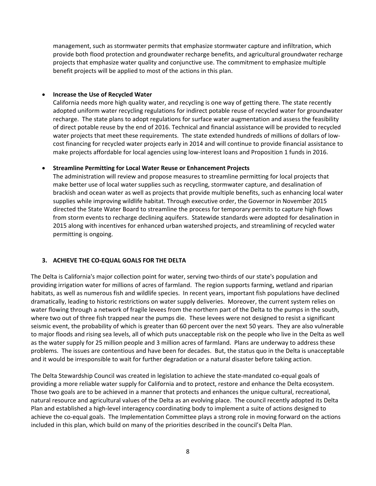<span id="page-10-0"></span>management, such as stormwater permits that emphasize stormwater capture and infiltration, which provide both flood protection and groundwater recharge benefits, and agricultural groundwater recharge projects that emphasize water quality and conjunctive use. The commitment to emphasize multiple benefit projects will be applied to most of the actions in this plan.

# **Increase the Use of Recycled Water**

California needs more high quality water, and recycling is one way of getting there. The state recently adopted uniform water recycling regulations for indirect potable reuse of recycled water for groundwater recharge. The state plans to adopt regulations for surface water augmentation and assess the feasibility of direct potable reuse by the end of 2016. Technical and financial assistance will be provided to recycled water projects that meet these requirements. The state extended hundreds of millions of dollars of lowcost financing for recycled water projects early in 2014 and will continue to provide financial assistance to make projects affordable for local agencies using low‐interest loans and Proposition 1 funds in 2016.

# **Streamline Permitting for Local Water Reuse or Enhancement Projects**

The administration will review and propose measures to streamline permitting for local projects that make better use of local water supplies such as recycling, stormwater capture, and desalination of brackish and ocean water as well as projects that provide multiple benefits, such as enhancing local water supplies while improving wildlife habitat. Through executive order, the Governor in November 2015 directed the State Water Board to streamline the process for temporary permits to capture high flows from storm events to recharge declining aquifers. Statewide standards were adopted for desalination in 2015 along with incentives for enhanced urban watershed projects, and streamlining of recycled water permitting is ongoing.

# **3. ACHIEVE THE CO‐EQUAL GOALS FOR THE DELTA**

The Delta is California's major collection point for water, serving two-thirds of our state's population and providing irrigation water for millions of acres of farmland. The region supports farming, wetland and riparian habitats, as well as numerous fish and wildlife species. In recent years, important fish populations have declined dramatically, leading to historic restrictions on water supply deliveries. Moreover, the current system relies on water flowing through a network of fragile levees from the northern part of the Delta to the pumps in the south, where two out of three fish trapped near the pumps die. These levees were not designed to resist a significant seismic event, the probability of which is greater than 60 percent over the next 50 years. They are also vulnerable to major floods and rising sea levels, all of which puts unacceptable risk on the people who live in the Delta as well as the water supply for 25 million people and 3 million acres of farmland. Plans are underway to address these problems. The issues are contentious and have been for decades. But, the status quo in the Delta is unacceptable and it would be irresponsible to wait for further degradation or a natural disaster before taking action.

The Delta Stewardship Council was created in legislation to achieve the state‐mandated co‐equal goals of providing a more reliable water supply for California and to protect, restore and enhance the Delta ecosystem. Those two goals are to be achieved in a manner that protects and enhances the unique cultural, recreational, natural resource and agricultural values of the Delta as an evolving place. The council recently adopted its Delta Plan and established a high‐level interagency coordinating body to implement a suite of actions designed to achieve the co‐equal goals. The Implementation Committee plays a strong role in moving forward on the actions included in this plan, which build on many of the priorities described in the council's Delta Plan.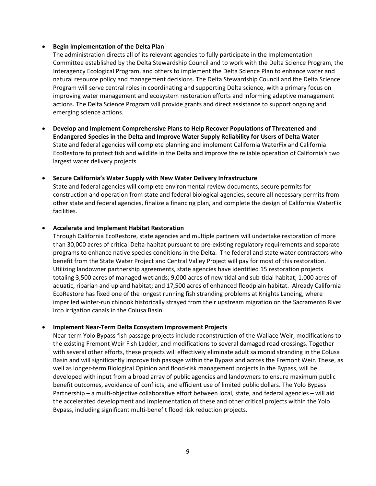# **Begin Implementation of the Delta Plan**

The administration directs all of its relevant agencies to fully participate in the Implementation Committee established by the Delta Stewardship Council and to work with the Delta Science Program, the Interagency Ecological Program, and others to implement the Delta Science Plan to enhance water and natural resource policy and management decisions. The Delta Stewardship Council and the Delta Science Program will serve central roles in coordinating and supporting Delta science, with a primary focus on improving water management and ecosystem restoration efforts and informing adaptive management actions. The Delta Science Program will provide grants and direct assistance to support ongoing and emerging science actions.

 **Develop and Implement Comprehensive Plans to Help Recover Populations of Threatened and Endangered Species in the Delta and Improve Water Supply Reliability for Users of Delta Water** State and federal agencies will complete planning and implement California WaterFix and California EcoRestore to protect fish and wildlife in the Delta and improve the reliable operation of California's two largest water delivery projects.

# **Secure California's Water Supply with New Water Delivery Infrastructure**

State and federal agencies will complete environmental review documents, secure permits for construction and operation from state and federal biological agencies, secure all necessary permits from other state and federal agencies, finalize a financing plan, and complete the design of California WaterFix facilities.

# **Accelerate and Implement Habitat Restoration**

Through California EcoRestore, state agencies and multiple partners will undertake restoration of more than 30,000 acres of critical Delta habitat pursuant to pre‐existing regulatory requirements and separate programs to enhance native species conditions in the Delta. The federal and state water contractors who benefit from the State Water Project and Central Valley Project will pay for most of this restoration. Utilizing landowner partnership agreements, state agencies have identified 15 restoration projects totaling 3,500 acres of managed wetlands; 9,000 acres of new tidal and sub‐tidal habitat; 1,000 acres of aquatic, riparian and upland habitat; and 17,500 acres of enhanced floodplain habitat. Already California EcoRestore has fixed one of the longest running fish stranding problems at Knights Landing, where imperiled winter‐run chinook historically strayed from their upstream migration on the Sacramento River into irrigation canals in the Colusa Basin.

# **Implement Near‐Term Delta Ecosystem Improvement Projects**

Near-term Yolo Bypass fish passage projects include reconstruction of the Wallace Weir, modifications to the existing Fremont Weir Fish Ladder, and modifications to several damaged road crossings. Together with several other efforts, these projects will effectively eliminate adult salmonid stranding in the Colusa Basin and will significantly improve fish passage within the Bypass and across the Fremont Weir. These, as well as longer-term Biological Opinion and flood-risk management projects in the Bypass, will be developed with input from a broad array of public agencies and landowners to ensure maximum public benefit outcomes, avoidance of conflicts, and efficient use of limited public dollars. The Yolo Bypass Partnership – a multi‐objective collaborative effort between local, state, and federal agencies – will aid the accelerated development and implementation of these and other critical projects within the Yolo Bypass, including significant multi‐benefit flood risk reduction projects.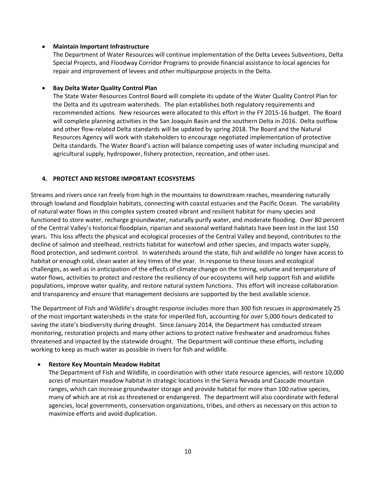# <span id="page-12-0"></span>**Maintain Important Infrastructure**

The Department of Water Resources will continue implementation of the Delta Levees Subventions, Delta Special Projects, and Floodway Corridor Programs to provide financial assistance to local agencies for repair and improvement of levees and other multipurpose projects in the Delta.

# **Bay Delta Water Quality Control Plan**

The State Water Resources Control Board will complete its update of the Water Quality Control Plan for the Delta and its upstream watersheds. The plan establishes both regulatory requirements and recommended actions. New resources were allocated to this effort in the FY 2015‐16 budget. The Board will complete planning activities in the San Joaquin Basin and the southern Delta in 2016. Delta outflow and other flow‐related Delta standards will be updated by spring 2018. The Board and the Natural Resources Agency will work with stakeholders to encourage negotiated implementation of protective Delta standards. The Water Board's action will balance competing uses of water including municipal and agricultural supply, hydropower, fishery protection, recreation, and other uses.

# **4. PROTECT AND RESTORE IMPORTANT ECOSYSTEMS**

Streams and rivers once ran freely from high in the mountains to downstream reaches, meandering naturally through lowland and floodplain habitats, connecting with coastal estuaries and the Pacific Ocean. The variability of natural water flows in this complex system created vibrant and resilient habitat for many species and functioned to store water, recharge groundwater, naturally purify water, and moderate flooding. Over 80 percent of the Central Valley's historical floodplain, riparian and seasonal wetland habitats have been lost in the last 150 years. This loss affects the physical and ecological processes of the Central Valley and beyond, contributes to the decline of salmon and steelhead, restricts habitat for waterfowl and other species, and impacts water supply, flood protection, and sediment control. In watersheds around the state, fish and wildlife no longer have access to habitat or enough cold, clean water at key times of the year. In response to these losses and ecological challenges, as well as in anticipation of the effects of climate change on the timing, volume and temperature of water flows, activities to protect and restore the resiliency of our ecosystems will help support fish and wildlife populations, improve water quality, and restore natural system functions. This effort will increase collaboration and transparency and ensure that management decisions are supported by the best available science.

The Department of Fish and Wildlife's drought response includes more than 300 fish rescues in approximately 25 of the most important watersheds in the state for imperiled fish, accounting for over 5,000 hours dedicated to saving the state's biodiversity during drought. Since January 2014, the Department has conducted stream monitoring, restoration projects and many other actions to protect native freshwater and anadromous fishes threatened and impacted by the statewide drought. The Department will continue these efforts, including working to keep as much water as possible in rivers for fish and wildlife.

#### **Restore Key Mountain Meadow Habitat**

The Department of Fish and Wildlife, in coordination with other state resource agencies, will restore 10,000 acres of mountain meadow habitat in strategic locations in the Sierra Nevada and Cascade mountain ranges, which can increase groundwater storage and provide habitat for more than 100 native species, many of which are at risk as threatened or endangered. The department will also coordinate with federal agencies, local governments, conservation organizations, tribes, and others as necessary on this action to maximize efforts and avoid duplication.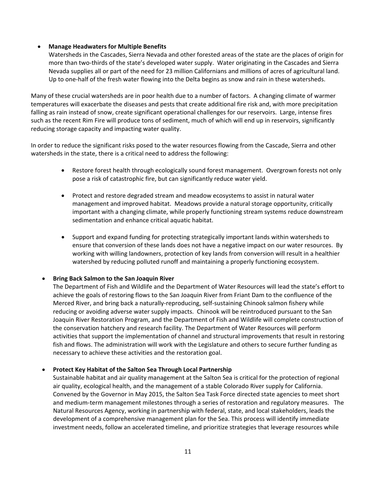# **Manage Headwaters for Multiple Benefits**

Watersheds in the Cascades, Sierra Nevada and other forested areas of the state are the places of origin for more than two‐thirds of the state's developed water supply. Water originating in the Cascades and Sierra Nevada supplies all or part of the need for 23 million Californians and millions of acres of agricultural land. Up to one-half of the fresh water flowing into the Delta begins as snow and rain in these watersheds.

Many of these crucial watersheds are in poor health due to a number of factors. A changing climate of warmer temperatures will exacerbate the diseases and pests that create additional fire risk and, with more precipitation falling as rain instead of snow, create significant operational challenges for our reservoirs. Large, intense fires such as the recent Rim Fire will produce tons of sediment, much of which will end up in reservoirs, significantly reducing storage capacity and impacting water quality.

In order to reduce the significant risks posed to the water resources flowing from the Cascade, Sierra and other watersheds in the state, there is a critical need to address the following:

- Restore forest health through ecologically sound forest management. Overgrown forests not only pose a risk of catastrophic fire, but can significantly reduce water yield.
- Protect and restore degraded stream and meadow ecosystems to assist in natural water management and improved habitat. Meadows provide a natural storage opportunity, critically important with a changing climate, while properly functioning stream systems reduce downstream sedimentation and enhance critical aquatic habitat.
- Support and expand funding for protecting strategically important lands within watersheds to ensure that conversion of these lands does not have a negative impact on our water resources. By working with willing landowners, protection of key lands from conversion will result in a healthier watershed by reducing polluted runoff and maintaining a properly functioning ecosystem.

# **Bring Back Salmon to the San Joaquin River**

The Department of Fish and Wildlife and the Department of Water Resources will lead the state's effort to achieve the goals of restoring flows to the San Joaquin River from Friant Dam to the confluence of the Merced River, and bring back a naturally‐reproducing, self‐sustaining Chinook salmon fishery while reducing or avoiding adverse water supply impacts. Chinook will be reintroduced pursuant to the San Joaquin River Restoration Program, and the Department of Fish and Wildlife will complete construction of the conservation hatchery and research facility. The Department of Water Resources will perform activities that support the implementation of channel and structural improvements that result in restoring fish and flows. The administration will work with the Legislature and others to secure further funding as necessary to achieve these activities and the restoration goal.

# **Protect Key Habitat of the Salton Sea Through Local Partnership**

Sustainable habitat and air quality management at the Salton Sea is critical for the protection of regional air quality, ecological health, and the management of a stable Colorado River supply for California. Convened by the Governor in May 2015, the Salton Sea Task Force directed state agencies to meet short and medium‐term management milestones through a series of restoration and regulatory measures. The Natural Resources Agency, working in partnership with federal, state, and local stakeholders, leads the development of a comprehensive management plan for the Sea. This process will identify immediate investment needs, follow an accelerated timeline, and prioritize strategies that leverage resources while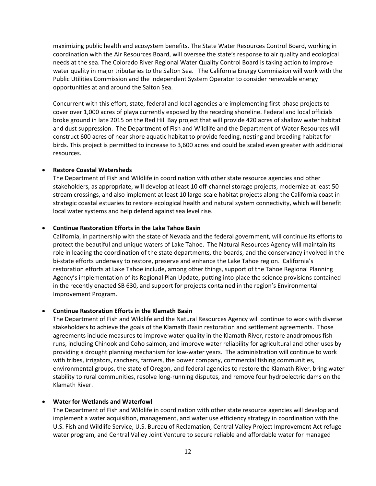maximizing public health and ecosystem benefits. The State Water Resources Control Board, working in coordination with the Air Resources Board, will oversee the state's response to air quality and ecological needs at the sea. The Colorado River Regional Water Quality Control Board is taking action to improve water quality in major tributaries to the Salton Sea. The California Energy Commission will work with the Public Utilities Commission and the Independent System Operator to consider renewable energy opportunities at and around the Salton Sea.

Concurrent with this effort, state, federal and local agencies are implementing first‐phase projects to cover over 1,000 acres of playa currently exposed by the receding shoreline. Federal and local officials broke ground in late 2015 on the Red Hill Bay project that will provide 420 acres of shallow water habitat and dust suppression. The Department of Fish and Wildlife and the Department of Water Resources will construct 600 acres of near shore aquatic habitat to provide feeding, nesting and breeding habitat for birds. This project is permitted to increase to 3,600 acres and could be scaled even greater with additional resources.

# **Restore Coastal Watersheds**

The Department of Fish and Wildlife in coordination with other state resource agencies and other stakeholders, as appropriate, will develop at least 10 off‐channel storage projects, modernize at least 50 stream crossings, and also implement at least 10 large‐scale habitat projects along the California coast in strategic coastal estuaries to restore ecological health and natural system connectivity, which will benefit local water systems and help defend against sea level rise.

# **Continue Restoration Efforts in the Lake Tahoe Basin**

California, in partnership with the state of Nevada and the federal government, will continue its efforts to protect the beautiful and unique waters of Lake Tahoe. The Natural Resources Agency will maintain its role in leading the coordination of the state departments, the boards, and the conservancy involved in the bi-state efforts underway to restore, preserve and enhance the Lake Tahoe region. California's restoration efforts at Lake Tahoe include, among other things, support of the Tahoe Regional Planning Agency's implementation of its Regional Plan Update, putting into place the science provisions contained in the recently enacted SB 630, and support for projects contained in the region's Environmental Improvement Program.

#### **Continue Restoration Efforts in the Klamath Basin**

The Department of Fish and Wildlife and the Natural Resources Agency will continue to work with diverse stakeholders to achieve the goals of the Klamath Basin restoration and settlement agreements. Those agreements include measures to improve water quality in the Klamath River, restore anadromous fish runs, including Chinook and Coho salmon, and improve water reliability for agricultural and other uses by providing a drought planning mechanism for low‐water years. The administration will continue to work with tribes, irrigators, ranchers, farmers, the power company, commercial fishing communities, environmental groups, the state of Oregon, and federal agencies to restore the Klamath River, bring water stability to rural communities, resolve long‐running disputes, and remove four hydroelectric dams on the Klamath River.

#### **Water for Wetlands and Waterfowl**

The Department of Fish and Wildlife in coordination with other state resource agencies will develop and implement a water acquisition, management, and water use efficiency strategy in coordination with the U.S. Fish and Wildlife Service, U.S. Bureau of Reclamation, Central Valley Project Improvement Act refuge water program, and Central Valley Joint Venture to secure reliable and affordable water for managed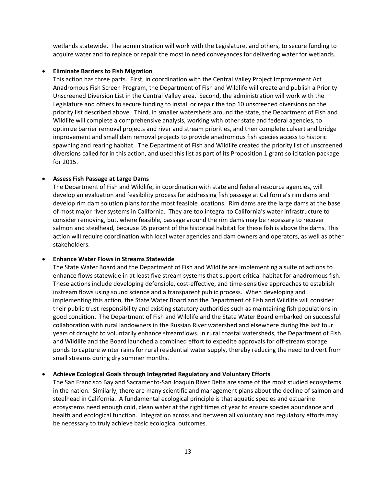wetlands statewide. The administration will work with the Legislature, and others, to secure funding to acquire water and to replace or repair the most in need conveyances for delivering water for wetlands.

# **Eliminate Barriers to Fish Migration**

This action has three parts. First, in coordination with the Central Valley Project Improvement Act Anadromous Fish Screen Program, the Department of Fish and Wildlife will create and publish a Priority Unscreened Diversion List in the Central Valley area. Second, the administration will work with the Legislature and others to secure funding to install or repair the top 10 unscreened diversions on the priority list described above. Third, in smaller watersheds around the state, the Department of Fish and Wildlife will complete a comprehensive analysis, working with other state and federal agencies, to optimize barrier removal projects and river and stream priorities, and then complete culvert and bridge improvement and small dam removal projects to provide anadromous fish species access to historic spawning and rearing habitat. The Department of Fish and Wildlife created the priority list of unscreened diversions called for in this action, and used this list as part of its Proposition 1 grant solicitation package for 2015.

# **Assess Fish Passage at Large Dams**

The Department of Fish and Wildlife, in coordination with state and federal resource agencies, will develop an evaluation and feasibility process for addressing fish passage at California's rim dams and develop rim dam solution plans for the most feasible locations. Rim dams are the large dams at the base of most major river systems in California. They are too integral to California's water infrastructure to consider removing, but, where feasible, passage around the rim dams may be necessary to recover salmon and steelhead, because 95 percent of the historical habitat for these fish is above the dams. This action will require coordination with local water agencies and dam owners and operators, as well as other stakeholders.

#### **Enhance Water Flows in Streams Statewide**

The State Water Board and the Department of Fish and Wildlife are implementing a suite of actions to enhance flows statewide in at least five stream systems that support critical habitat for anadromous fish. These actions include developing defensible, cost-effective, and time-sensitive approaches to establish instream flows using sound science and a transparent public process. When developing and implementing this action, the State Water Board and the Department of Fish and Wildlife will consider their public trust responsibility and existing statutory authorities such as maintaining fish populations in good condition. The Department of Fish and Wildlife and the State Water Board embarked on successful collaboration with rural landowners in the Russian River watershed and elsewhere during the last four years of drought to voluntarily enhance streamflows. In rural coastal watersheds, the Department of Fish and Wildlife and the Board launched a combined effort to expedite approvals for off‐stream storage ponds to capture winter rains for rural residential water supply, thereby reducing the need to divert from small streams during dry summer months.

#### **Achieve Ecological Goals through Integrated Regulatory and Voluntary Efforts**

The San Francisco Bay and Sacramento‐San Joaquin River Delta are some of the most studied ecosystems in the nation. Similarly, there are many scientific and management plans about the decline of salmon and steelhead in California. A fundamental ecological principle is that aquatic species and estuarine ecosystems need enough cold, clean water at the right times of year to ensure species abundance and health and ecological function. Integration across and between all voluntary and regulatory efforts may be necessary to truly achieve basic ecological outcomes.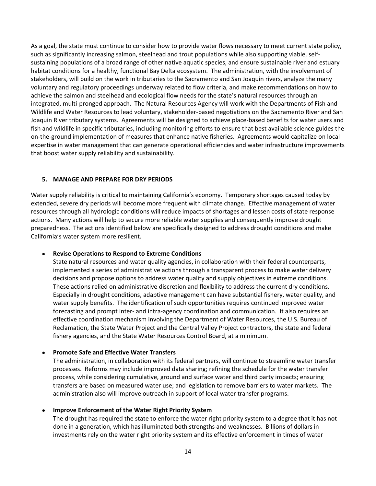<span id="page-16-0"></span>As a goal, the state must continue to consider how to provide water flows necessary to meet current state policy, such as significantly increasing salmon, steelhead and trout populations while also supporting viable, selfsustaining populations of a broad range of other native aquatic species, and ensure sustainable river and estuary habitat conditions for a healthy, functional Bay Delta ecosystem. The administration, with the involvement of stakeholders, will build on the work in tributaries to the Sacramento and San Joaquin rivers, analyze the many voluntary and regulatory proceedings underway related to flow criteria, and make recommendations on how to achieve the salmon and steelhead and ecological flow needs for the state's natural resources through an integrated, multi‐pronged approach. The Natural Resources Agency will work with the Departments of Fish and Wildlife and Water Resources to lead voluntary, stakeholder‐based negotiations on the Sacramento River and San Joaquin River tributary systems. Agreements will be designed to achieve place‐based benefits for water users and fish and wildlife in specific tributaries, including monitoring efforts to ensure that best available science guides the on‐the‐ground implementation of measures that enhance native fisheries. Agreements would capitalize on local expertise in water management that can generate operational efficiencies and water infrastructure improvements that boost water supply reliability and sustainability.

# **5. MANAGE AND PREPARE FOR DRY PERIODS**

Water supply reliability is critical to maintaining California's economy. Temporary shortages caused today by extended, severe dry periods will become more frequent with climate change. Effective management of water resources through all hydrologic conditions will reduce impacts of shortages and lessen costs of state response actions. Many actions will help to secure more reliable water supplies and consequently improve drought preparedness. The actions identified below are specifically designed to address drought conditions and make California's water system more resilient.

#### **Revise Operations to Respond to Extreme Conditions**

State natural resources and water quality agencies, in collaboration with their federal counterparts, implemented a series of administrative actions through a transparent process to make water delivery decisions and propose options to address water quality and supply objectives in extreme conditions. These actions relied on administrative discretion and flexibility to address the current dry conditions. Especially in drought conditions, adaptive management can have substantial fishery, water quality, and water supply benefits. The identification of such opportunities requires continued improved water forecasting and prompt inter‐ and intra‐agency coordination and communication. It also requires an effective coordination mechanism involving the Department of Water Resources, the U.S. Bureau of Reclamation, the State Water Project and the Central Valley Project contractors, the state and federal fishery agencies, and the State Water Resources Control Board, at a minimum.

# **Promote Safe and Effective Water Transfers**

The administration, in collaboration with its federal partners, will continue to streamline water transfer processes. Reforms may include improved data sharing; refining the schedule for the water transfer process, while considering cumulative, ground and surface water and third party impacts; ensuring transfers are based on measured water use; and legislation to remove barriers to water markets. The administration also will improve outreach in support of local water transfer programs.

#### **Improve Enforcement of the Water Right Priority System**

The drought has required the state to enforce the water right priority system to a degree that it has not done in a generation, which has illuminated both strengths and weaknesses. Billions of dollars in investments rely on the water right priority system and its effective enforcement in times of water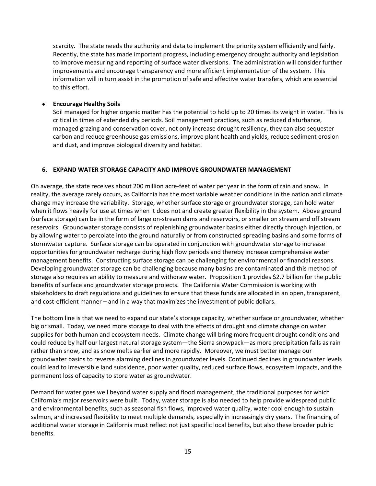<span id="page-17-0"></span>scarcity. The state needs the authority and data to implement the priority system efficiently and fairly. Recently, the state has made important progress, including emergency drought authority and legislation to improve measuring and reporting of surface water diversions. The administration will consider further improvements and encourage transparency and more efficient implementation of the system. This information will in turn assist in the promotion of safe and effective water transfers, which are essential to this effort.

# **Encourage Healthy Soils**

Soil managed for higher organic matter has the potential to hold up to 20 times its weight in water. This is critical in times of extended dry periods. Soil management practices, such as reduced disturbance, managed grazing and conservation cover, not only increase drought resiliency, they can also sequester carbon and reduce greenhouse gas emissions, improve plant health and yields, reduce sediment erosion and dust, and improve biological diversity and habitat.

# **6. EXPAND WATER STORAGE CAPACITY AND IMPROVE GROUNDWATER MANAGEMENT**

On average, the state receives about 200 million acre‐feet of water per year in the form of rain and snow. In reality, the average rarely occurs, as California has the most variable weather conditions in the nation and climate change may increase the variability. Storage, whether surface storage or groundwater storage, can hold water when it flows heavily for use at times when it does not and create greater flexibility in the system. Above ground (surface storage) can be in the form of large on‐stream dams and reservoirs, or smaller on stream and off stream reservoirs. Groundwater storage consists of replenishing groundwater basins either directly through injection, or by allowing water to percolate into the ground naturally or from constructed spreading basins and some forms of stormwater capture. Surface storage can be operated in conjunction with groundwater storage to increase opportunities for groundwater recharge during high flow periods and thereby increase comprehensive water management benefits. Constructing surface storage can be challenging for environmental or financial reasons. Developing groundwater storage can be challenging because many basins are contaminated and this method of storage also requires an ability to measure and withdraw water. Proposition 1 provides \$2.7 billion for the public benefits of surface and groundwater storage projects. The California Water Commission is working with stakeholders to draft regulations and guidelines to ensure that these funds are allocated in an open, transparent, and cost-efficient manner – and in a way that maximizes the investment of public dollars.

The bottom line is that we need to expand our state's storage capacity, whether surface or groundwater, whether big or small. Today, we need more storage to deal with the effects of drought and climate change on water supplies for both human and ecosystem needs. Climate change will bring more frequent drought conditions and could reduce by half our largest natural storage system—the Sierra snowpack—as more precipitation falls as rain rather than snow, and as snow melts earlier and more rapidly. Moreover, we must better manage our groundwater basins to reverse alarming declines in groundwater levels. Continued declines in groundwater levels could lead to irreversible land subsidence, poor water quality, reduced surface flows, ecosystem impacts, and the permanent loss of capacity to store water as groundwater.

Demand for water goes well beyond water supply and flood management, the traditional purposes for which California's major reservoirs were built. Today, water storage is also needed to help provide widespread public and environmental benefits, such as seasonal fish flows, improved water quality, water cool enough to sustain salmon, and increased flexibility to meet multiple demands, especially in increasingly dry years. The financing of additional water storage in California must reflect not just specific local benefits, but also these broader public benefits.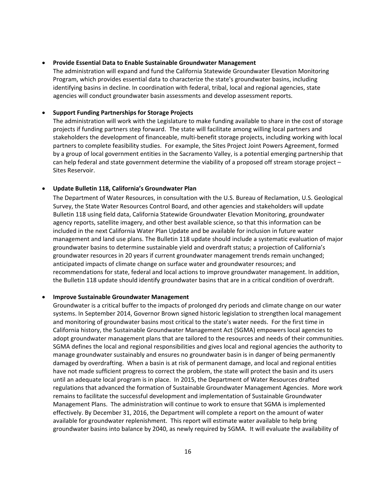# **Provide Essential Data to Enable Sustainable Groundwater Management**

The administration will expand and fund the California Statewide Groundwater Elevation Monitoring Program, which provides essential data to characterize the state's groundwater basins, including identifying basins in decline. In coordination with federal, tribal, local and regional agencies, state agencies will conduct groundwater basin assessments and develop assessment reports.

# **Support Funding Partnerships for Storage Projects**

The administration will work with the Legislature to make funding available to share in the cost of storage projects if funding partners step forward. The state will facilitate among willing local partners and stakeholders the development of financeable, multi‐benefit storage projects, including working with local partners to complete feasibility studies. For example, the Sites Project Joint Powers Agreement, formed by a group of local government entities in the Sacramento Valley, is a potential emerging partnership that can help federal and state government determine the viability of a proposed off stream storage project – Sites Reservoir.

# **Update Bulletin 118, California's Groundwater Plan**

The Department of Water Resources, in consultation with the U.S. Bureau of Reclamation, U.S. Geological Survey, the State Water Resources Control Board, and other agencies and stakeholders will update Bulletin 118 using field data, California Statewide Groundwater Elevation Monitoring, groundwater agency reports, satellite imagery, and other best available science, so that this information can be included in the next California Water Plan Update and be available for inclusion in future water management and land use plans. The Bulletin 118 update should include a systematic evaluation of major groundwater basins to determine sustainable yield and overdraft status; a projection of California's groundwater resources in 20 years if current groundwater management trends remain unchanged; anticipated impacts of climate change on surface water and groundwater resources; and recommendations for state, federal and local actions to improve groundwater management. In addition, the Bulletin 118 update should identify groundwater basins that are in a critical condition of overdraft.

# **Improve Sustainable Groundwater Management**

Groundwater is a critical buffer to the impacts of prolonged dry periods and climate change on our water systems. In September 2014, Governor Brown signed historic legislation to strengthen local management and monitoring of groundwater basins most critical to the state's water needs. For the first time in California history, the Sustainable Groundwater Management Act (SGMA) empowers local agencies to adopt groundwater management plans that are tailored to the resources and needs of their communities. SGMA defines the local and regional responsibilities and gives local and regional agencies the authority to manage groundwater sustainably and ensures no groundwater basin is in danger of being permanently damaged by overdrafting. When a basin is at risk of permanent damage, and local and regional entities have not made sufficient progress to correct the problem, the state will protect the basin and its users until an adequate local program is in place. In 2015, the Department of Water Resources drafted regulations that advanced the formation of Sustainable Groundwater Management Agencies. More work remains to facilitate the successful development and implementation of Sustainable Groundwater Management Plans. The administration will continue to work to ensure that SGMA is implemented effectively. By December 31, 2016, the Department will complete a report on the amount of water available for groundwater replenishment. This report will estimate water available to help bring groundwater basins into balance by 2040, as newly required by SGMA. It will evaluate the availability of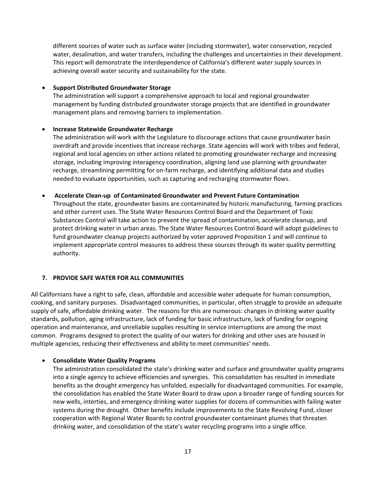<span id="page-19-0"></span>different sources of water such as surface water (including stormwater), water conservation, recycled water, desalination, and water transfers, including the challenges and uncertainties in their development. This report will demonstrate the interdependence of California's different water supply sources in achieving overall water security and sustainability for the state.

# **Support Distributed Groundwater Storage**

The administration will support a comprehensive approach to local and regional groundwater management by funding distributed groundwater storage projects that are identified in groundwater management plans and removing barriers to implementation.

# **Increase Statewide Groundwater Recharge**

The administration will work with the Legislature to discourage actions that cause groundwater basin overdraft and provide incentives that increase recharge. State agencies will work with tribes and federal, regional and local agencies on other actions related to promoting groundwater recharge and increasing storage, including improving interagency coordination, aligning land use planning with groundwater recharge, streamlining permitting for on‐farm recharge, and identifying additional data and studies needed to evaluate opportunities, such as capturing and recharging stormwater flows.

#### **Accelerate Clean‐up of Contaminated Groundwater and Prevent Future Contamination**

Throughout the state, groundwater basins are contaminated by historic manufacturing, farming practices and other current uses. The State Water Resources Control Board and the Department of Toxic Substances Control will take action to prevent the spread of contamination, accelerate cleanup, and protect drinking water in urban areas. The State Water Resources Control Board will adopt guidelines to fund groundwater cleanup projects authorized by voter approved Proposition 1 and will continue to implement appropriate control measures to address these sources through its water quality permitting authority.

# **7. PROVIDE SAFE WATER FOR ALL COMMUNITIES**

All Californians have a right to safe, clean, affordable and accessible water adequate for human consumption, cooking, and sanitary purposes. Disadvantaged communities, in particular, often struggle to provide an adequate supply of safe, affordable drinking water. The reasons for this are numerous: changes in drinking water quality standards, pollution, aging infrastructure, lack of funding for basic infrastructure, lack of funding for ongoing operation and maintenance, and unreliable supplies resulting in service interruptions are among the most common. Programs designed to protect the quality of our waters for drinking and other uses are housed in multiple agencies, reducing their effectiveness and ability to meet communities' needs.

# **Consolidate Water Quality Programs**

The administration consolidated the state's drinking water and surface and groundwater quality programs into a single agency to achieve efficiencies and synergies. This consolidation has resulted in immediate benefits as the drought emergency has unfolded, especially for disadvantaged communities. For example, the consolidation has enabled the State Water Board to draw upon a broader range of funding sources for new wells, interties, and emergency drinking water supplies for dozens of communities with failing water systems during the drought. Other benefits include improvements to the State Revolving Fund, closer cooperation with Regional Water Boards to control groundwater contaminant plumes that threaten drinking water, and consolidation of the state's water recycling programs into a single office.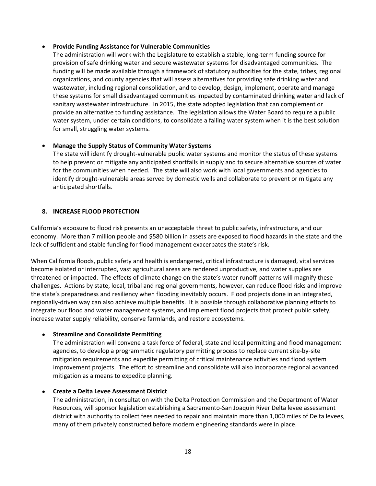# <span id="page-20-0"></span>**Provide Funding Assistance for Vulnerable Communities**

The administration will work with the Legislature to establish a stable, long‐term funding source for provision of safe drinking water and secure wastewater systems for disadvantaged communities. The funding will be made available through a framework of statutory authorities for the state, tribes, regional organizations, and county agencies that will assess alternatives for providing safe drinking water and wastewater, including regional consolidation, and to develop, design, implement, operate and manage these systems for small disadvantaged communities impacted by contaminated drinking water and lack of sanitary wastewater infrastructure. In 2015, the state adopted legislation that can complement or provide an alternative to funding assistance. The legislation allows the Water Board to require a public water system, under certain conditions, to consolidate a failing water system when it is the best solution for small, struggling water systems.

# **Manage the Supply Status of Community Water Systems**

The state will identify drought‐vulnerable public water systems and monitor the status of these systems to help prevent or mitigate any anticipated shortfalls in supply and to secure alternative sources of water for the communities when needed. The state will also work with local governments and agencies to identify drought-vulnerable areas served by domestic wells and collaborate to prevent or mitigate any anticipated shortfalls.

# **8. INCREASE FLOOD PROTECTION**

California's exposure to flood risk presents an unacceptable threat to public safety, infrastructure, and our economy. More than 7 million people and \$580 billion in assets are exposed to flood hazards in the state and the lack of sufficient and stable funding for flood management exacerbates the state's risk.

When California floods, public safety and health is endangered, critical infrastructure is damaged, vital services become isolated or interrupted, vast agricultural areas are rendered unproductive, and water supplies are threatened or impacted. The effects of climate change on the state's water runoff patterns will magnify these challenges. Actions by state, local, tribal and regional governments, however, can reduce flood risks and improve the state's preparedness and resiliency when flooding inevitably occurs. Flood projects done in an integrated, regionally‐driven way can also achieve multiple benefits. It is possible through collaborative planning efforts to integrate our flood and water management systems, and implement flood projects that protect public safety, increase water supply reliability, conserve farmlands, and restore ecosystems.

# **Streamline and Consolidate Permitting**

The administration will convene a task force of federal, state and local permitting and flood management agencies, to develop a programmatic regulatory permitting process to replace current site‐by‐site mitigation requirements and expedite permitting of critical maintenance activities and flood system improvement projects. The effort to streamline and consolidate will also incorporate regional advanced mitigation as a means to expedite planning.

# **Create a Delta Levee Assessment District**

The administration, in consultation with the Delta Protection Commission and the Department of Water Resources, will sponsor legislation establishing a Sacramento‐San Joaquin River Delta levee assessment district with authority to collect fees needed to repair and maintain more than 1,000 miles of Delta levees, many of them privately constructed before modern engineering standards were in place.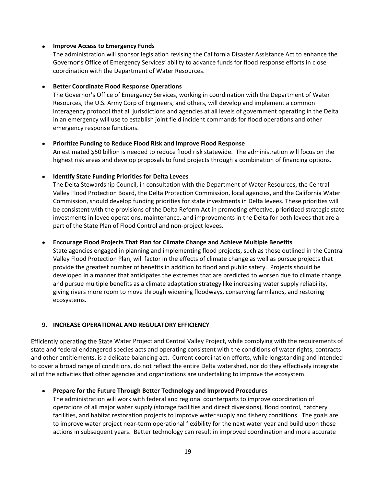# <span id="page-21-0"></span>**Improve Access to Emergency Funds**

The administration will sponsor legislation revising the California Disaster Assistance Act to enhance the Governor's Office of Emergency Services' ability to advance funds for flood response efforts in close coordination with the Department of Water Resources.

# **Better Coordinate Flood Response Operations**

The Governor's Office of Emergency Services, working in coordination with the Department of Water Resources, the U.S. Army Corp of Engineers, and others, will develop and implement a common interagency protocol that all jurisdictions and agencies at all levels of government operating in the Delta in an emergency will use to establish joint field incident commands for flood operations and other emergency response functions.

# **Prioritize Funding to Reduce Flood Risk and Improve Flood Response**

An estimated \$50 billion is needed to reduce flood risk statewide. The administration will focus on the highest risk areas and develop proposals to fund projects through a combination of financing options.

# **Identify State Funding Priorities for Delta Levees**

The Delta Stewardship Council, in consultation with the Department of Water Resources, the Central Valley Flood Protection Board, the Delta Protection Commission, local agencies, and the California Water Commission, should develop funding priorities for state investments in Delta levees. These priorities will be consistent with the provisions of the Delta Reform Act in promoting effective, prioritized strategic state investments in levee operations, maintenance, and improvements in the Delta for both levees that are a part of the State Plan of Flood Control and non‐project levees.

# **Encourage Flood Projects That Plan for Climate Change and Achieve Multiple Benefits**

State agencies engaged in planning and implementing flood projects, such as those outlined in the Central Valley Flood Protection Plan, will factor in the effects of climate change as well as pursue projects that provide the greatest number of benefits in addition to flood and public safety. Projects should be developed in a manner that anticipates the extremes that are predicted to worsen due to climate change, and pursue multiple benefits as a climate adaptation strategy like increasing water supply reliability, giving rivers more room to move through widening floodways, conserving farmlands, and restoring ecosystems.

# **9. INCREASE OPERATIONAL AND REGULATORY EFFICIENCY**

Efficiently operating the State Water Project and Central Valley Project, while complying with the requirements of state and federal endangered species acts and operating consistent with the conditions of water rights, contracts and other entitlements, is a delicate balancing act. Current coordination efforts, while longstanding and intended to cover a broad range of conditions, do not reflect the entire Delta watershed, nor do they effectively integrate all of the activities that other agencies and organizations are undertaking to improve the ecosystem.

# **Prepare for the Future Through Better Technology and Improved Procedures**

The administration will work with federal and regional counterparts to improve coordination of operations of all major water supply (storage facilities and direct diversions), flood control, hatchery facilities, and habitat restoration projects to improve water supply and fishery conditions. The goals are to improve water project near-term operational flexibility for the next water year and build upon those actions in subsequent years. Better technology can result in improved coordination and more accurate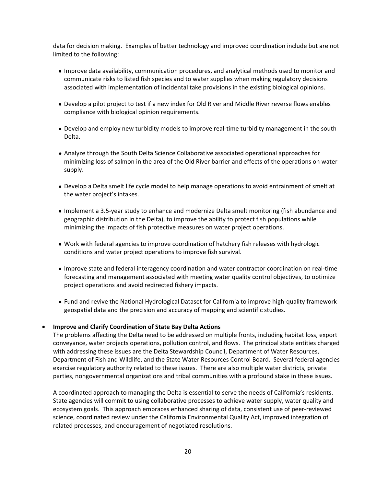data for decision making. Examples of better technology and improved coordination include but are not limited to the following:

- Improve data availability, communication procedures, and analytical methods used to monitor and communicate risks to listed fish species and to water supplies when making regulatory decisions associated with implementation of incidental take provisions in the existing biological opinions.
- Develop a pilot project to test if a new index for Old River and Middle River reverse flows enables compliance with biological opinion requirements.
- Develop and employ new turbidity models to improve real‐time turbidity management in the south Delta.
- Analyze through the South Delta Science Collaborative associated operational approaches for minimizing loss of salmon in the area of the Old River barrier and effects of the operations on water supply.
- Develop a Delta smelt life cycle model to help manage operations to avoid entrainment of smelt at the water project's intakes.
- Implement a 3.5‐year study to enhance and modernize Delta smelt monitoring (fish abundance and geographic distribution in the Delta), to improve the ability to protect fish populations while minimizing the impacts of fish protective measures on water project operations.
- Work with federal agencies to improve coordination of hatchery fish releases with hydrologic conditions and water project operations to improve fish survival.
- Improve state and federal interagency coordination and water contractor coordination on real‐time forecasting and management associated with meeting water quality control objectives, to optimize project operations and avoid redirected fishery impacts.
- Fund and revive the National Hydrological Dataset for California to improve high‐quality framework geospatial data and the precision and accuracy of mapping and scientific studies.

#### **Improve and Clarify Coordination of State Bay Delta Actions**

The problems affecting the Delta need to be addressed on multiple fronts, including habitat loss, export conveyance, water projects operations, pollution control, and flows. The principal state entities charged with addressing these issues are the Delta Stewardship Council, Department of Water Resources, Department of Fish and Wildlife, and the State Water Resources Control Board. Several federal agencies exercise regulatory authority related to these issues. There are also multiple water districts, private parties, nongovernmental organizations and tribal communities with a profound stake in these issues.

A coordinated approach to managing the Delta is essential to serve the needs of California's residents. State agencies will commit to using collaborative processes to achieve water supply, water quality and ecosystem goals. This approach embraces enhanced sharing of data, consistent use of peer‐reviewed science, coordinated review under the California Environmental Quality Act, improved integration of related processes, and encouragement of negotiated resolutions.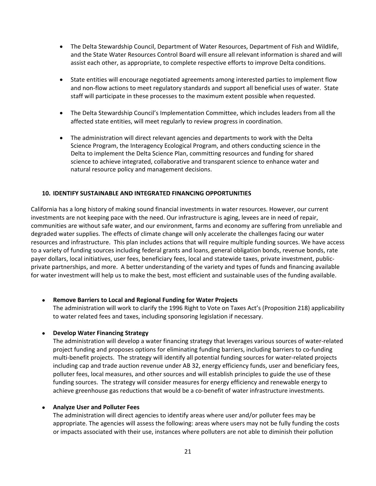- <span id="page-23-0"></span> The Delta Stewardship Council, Department of Water Resources, Department of Fish and Wildlife, and the State Water Resources Control Board will ensure all relevant information is shared and will assist each other, as appropriate, to complete respective efforts to improve Delta conditions.
- State entities will encourage negotiated agreements among interested parties to implement flow and non‐flow actions to meet regulatory standards and support all beneficial uses of water. State staff will participate in these processes to the maximum extent possible when requested.
- The Delta Stewardship Council's Implementation Committee, which includes leaders from all the affected state entities, will meet regularly to review progress in coordination.
- The administration will direct relevant agencies and departments to work with the Delta Science Program, the Interagency Ecological Program, and others conducting science in the Delta to implement the Delta Science Plan, committing resources and funding for shared science to achieve integrated, collaborative and transparent science to enhance water and natural resource policy and management decisions.

# **10. IDENTIFY SUSTAINABLE AND INTEGRATED FINANCING OPPORTUNITIES**

California has a long history of making sound financial investments in water resources. However, our current investments are not keeping pace with the need. Our infrastructure is aging, levees are in need of repair, communities are without safe water, and our environment, farms and economy are suffering from unreliable and degraded water supplies. The effects of climate change will only accelerate the challenges facing our water resources and infrastructure. This plan includes actions that will require multiple funding sources. We have access to a variety of funding sources including federal grants and loans, general obligation bonds, revenue bonds, rate payer dollars, local initiatives, user fees, beneficiary fees, local and statewide taxes, private investment, public‐ private partnerships, and more. A better understanding of the variety and types of funds and financing available for water investment will help us to make the best, most efficient and sustainable uses of the funding available.

# **Remove Barriers to Local and Regional Funding for Water Projects**

The administration will work to clarify the 1996 Right to Vote on Taxes Act's (Proposition 218) applicability to water related fees and taxes, including sponsoring legislation if necessary.

# **Develop Water Financing Strategy**

The administration will develop a water financing strategy that leverages various sources of water‐related project funding and proposes options for eliminating funding barriers, including barriers to co‐funding multi-benefit projects. The strategy will identify all potential funding sources for water-related projects including cap and trade auction revenue under AB 32, energy efficiency funds, user and beneficiary fees, polluter fees, local measures, and other sources and will establish principles to guide the use of these funding sources. The strategy will consider measures for energy efficiency and renewable energy to achieve greenhouse gas reductions that would be a co-benefit of water infrastructure investments.

#### **Analyze User and Polluter Fees**

The administration will direct agencies to identify areas where user and/or polluter fees may be appropriate. The agencies will assess the following: areas where users may not be fully funding the costs or impacts associated with their use, instances where polluters are not able to diminish their pollution